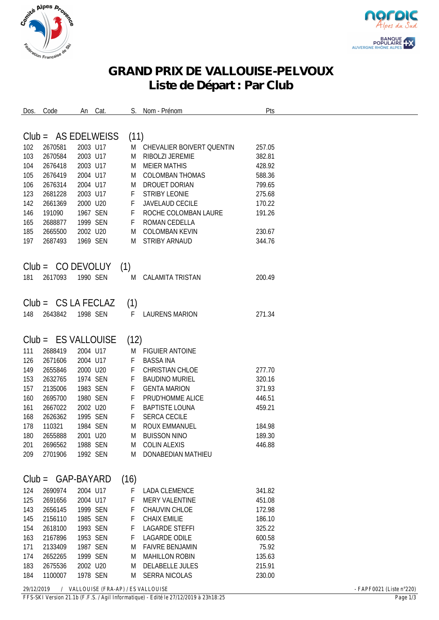



## **GRAND PRIX DE VALLOUISE-PELVOUX Liste de Départ : Par Club**

| Dos. | Code                  |          | An Cat.  |      | Nom - Prénom                | Pts    |  |
|------|-----------------------|----------|----------|------|-----------------------------|--------|--|
|      |                       |          |          |      |                             |        |  |
|      |                       |          |          |      |                             |        |  |
|      | $Club = AS EDELWEISS$ |          |          | (11) |                             |        |  |
| 102  | 2670581               | 2003 U17 |          |      | M CHEVALIER BOIVERT QUENTIN | 257.05 |  |
| 103  | 2670584               | 2003 U17 |          | M    | RIBOLZI JEREMIE             | 382.81 |  |
| 104  | 2676418               | 2003 U17 |          | M    | <b>MEIER MATHIS</b>         | 428.92 |  |
| 105  | 2676419               | 2004 U17 |          | M    | <b>COLOMBAN THOMAS</b>      | 588.36 |  |
| 106  | 2676314               | 2004 U17 |          | M    | DROUET DORIAN               | 799.65 |  |
| 123  | 2681228               | 2003 U17 |          | F    | <b>STRIBY LEONIE</b>        | 275.68 |  |
| 142  | 2661369               | 2000 U20 |          | F    | JAVELAUD CECILE             | 170.22 |  |
| 146  | 191090                |          | 1967 SEN | F    | ROCHE COLOMBAN LAURE        | 191.26 |  |
| 165  | 2688877               |          | 1999 SEN | F    | ROMAN CEDELLA               |        |  |
| 185  | 2665500               | 2002 U20 |          | M    | <b>COLOMBAN KEVIN</b>       | 230.67 |  |
| 197  | 2687493               |          | 1969 SEN | M    | STRIBY ARNAUD               | 344.76 |  |
|      |                       |          |          |      |                             |        |  |
|      |                       |          |          |      |                             |        |  |
|      | $Club = CO$ DEVOLUY   |          |          | (1)  |                             |        |  |
| 181  | 2617093               |          | 1990 SEN | M    | CALAMITA TRISTAN            | 200.49 |  |
|      |                       |          |          |      |                             |        |  |
|      |                       |          |          |      |                             |        |  |
|      | $Club = CS LA FECLAZ$ |          |          | (1)  |                             |        |  |
| 148  | 2643842               | 1998 SEN |          | F.   | <b>LAURENS MARION</b>       | 271.34 |  |
|      |                       |          |          |      |                             |        |  |
|      |                       |          |          |      |                             |        |  |
|      | $Club = ES VALLOUISE$ |          |          | (12) |                             |        |  |
| 111  | 2688419               | 2004 U17 |          | M    | FIGUIER ANTOINE             |        |  |
| 126  | 2671606               | 2004 U17 |          | F    | <b>BASSA INA</b>            |        |  |
| 149  | 2655846               | 2000 U20 |          | F    | CHRISTIAN CHLOE             | 277.70 |  |
| 153  | 2632765               |          | 1974 SEN | F    | <b>BAUDINO MURIEL</b>       | 320.16 |  |
| 157  | 2135006               |          | 1983 SEN | F    | <b>GENTA MARION</b>         | 371.93 |  |
| 160  | 2695700               |          | 1980 SEN | F    | PRUD'HOMME ALICE            | 446.51 |  |
| 161  | 2667022               | 2002 U20 |          | F    | <b>BAPTISTE LOUNA</b>       | 459.21 |  |
| 168  | 2626362               |          | 1995 SEN | F    | <b>SERCA CECILE</b>         |        |  |
|      |                       |          | 1984 SEN |      | <b>ROUX EMMANUEL</b>        |        |  |
| 178  | 110321                |          |          | M    |                             | 184.98 |  |
| 180  | 2655888               | 2001 U20 |          | M    | <b>BUISSON NINO</b>         | 189.30 |  |
| 201  | 2696562               | 1988 SEN |          |      | M COLIN ALEXIS              | 446.88 |  |
| 209  | 2701906               | 1992 SEN |          |      | M DONABEDIAN MATHIEU        |        |  |
|      |                       |          |          |      |                             |        |  |
|      | $Club = GAP-BAYARD$   |          |          | (16) |                             |        |  |
| 124  | 2690974               | 2004 U17 |          | F    | <b>LADA CLEMENCE</b>        | 341.82 |  |
|      |                       |          |          |      |                             |        |  |
| 125  | 2691656               | 2004 U17 |          | F    | <b>MERY VALENTINE</b>       | 451.08 |  |
| 143  | 2656145               |          | 1999 SEN | F    | CHAUVIN CHLOE               | 172.98 |  |
| 145  | 2156110               |          | 1985 SEN | F    | <b>CHAIX EMILIE</b>         | 186.10 |  |
| 154  | 2618100               |          | 1993 SEN | F    | LAGARDE STEFFI              | 325.22 |  |
| 163  | 2167896               |          | 1953 SEN | F    | <b>LAGARDE ODILE</b>        | 600.58 |  |
| 171  | 2133409               |          | 1987 SEN | M    | <b>FAIVRE BENJAMIN</b>      | 75.92  |  |
| 174  | 2652265               |          | 1999 SEN | M    | <b>MAHILLON ROBIN</b>       | 135.63 |  |
| 183  | 2675536               | 2002 U20 |          |      | M DELABELLE JULES           | 215.91 |  |
| 184  | 1100007               |          | 1978 SEN |      | M SERRA NICOLAS             | 230.00 |  |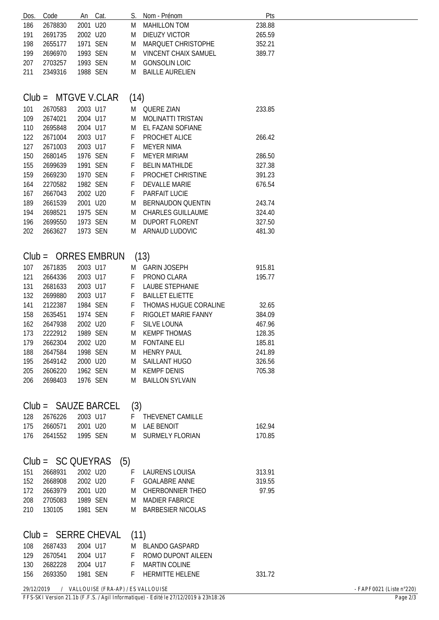| Dos.                          | Code                  | An       | Cat.                                           | S.   | Nom - Prénom                | Pts    |                                    |  |
|-------------------------------|-----------------------|----------|------------------------------------------------|------|-----------------------------|--------|------------------------------------|--|
| 186                           | 2678830               | 2001 U20 |                                                | M    | <b>MAHILLON TOM</b>         | 238.88 |                                    |  |
| 191                           | 2691735               | 2002 U20 |                                                | M    | <b>DIEUZY VICTOR</b>        | 265.59 |                                    |  |
| 198                           | 2655177               |          | 1971 SEN                                       | M    | MARQUET CHRISTOPHE          | 352.21 |                                    |  |
|                               |                       |          |                                                |      |                             | 389.77 |                                    |  |
| 199                           | 2696970               |          | 1993 SEN                                       | M    | <b>VINCENT CHAIX SAMUEL</b> |        |                                    |  |
| 207                           | 2703257               |          | 1993 SEN                                       | M    | <b>GONSOLIN LOIC</b>        |        |                                    |  |
| 211                           | 2349316               |          | 1988 SEN                                       | M    | <b>BAILLE AURELIEN</b>      |        |                                    |  |
|                               |                       |          |                                                |      |                             |        |                                    |  |
|                               |                       |          |                                                |      |                             |        |                                    |  |
| $Club =$                      |                       |          | MTGVE V.CLAR                                   | (14) |                             |        |                                    |  |
| 101                           | 2670583               | 2003 U17 |                                                |      | M QUERE ZIAN                | 233.85 |                                    |  |
| 109                           | 2674021               | 2004 U17 |                                                | M    | <b>MOLINATTI TRISTAN</b>    |        |                                    |  |
|                               |                       |          |                                                |      |                             |        |                                    |  |
| 110                           | 2695848               | 2004 U17 |                                                | M    | EL FAZANI SOFIANE           |        |                                    |  |
| 122                           | 2671004               | 2003 U17 |                                                | F    | PROCHET ALICE               | 266.42 |                                    |  |
| 127                           | 2671003               | 2003 U17 |                                                | F    | <b>MEYER NIMA</b>           |        |                                    |  |
| 150                           | 2680145               |          | 1976 SEN                                       | F    | <b>MEYER MIRIAM</b>         | 286.50 |                                    |  |
| 155                           | 2699639               |          | 1991 SEN                                       | F    | <b>BELIN MATHILDE</b>       | 327.38 |                                    |  |
| 159                           | 2669230               |          | 1970 SEN                                       | F    | PROCHET CHRISTINE           | 391.23 |                                    |  |
| 164                           | 2270582               |          | 1982 SEN                                       | F    | <b>DEVALLE MARIE</b>        | 676.54 |                                    |  |
| 167                           | 2667043               | 2002 U20 |                                                | F    | PARFAIT LUCIE               |        |                                    |  |
| 189                           | 2661539               | 2001 U20 |                                                | M    | <b>BERNAUDON QUENTIN</b>    | 243.74 |                                    |  |
| 194                           | 2698521               |          | 1975 SEN                                       | M    | <b>CHARLES GUILLAUME</b>    | 324.40 |                                    |  |
|                               |                       |          |                                                |      |                             |        |                                    |  |
| 196                           | 2699550               |          | 1973 SEN                                       | M    | <b>DUPORT FLORENT</b>       | 327.50 |                                    |  |
| 202                           | 2663627               |          | 1973 SEN                                       | M    | ARNAUD LUDOVIC              | 481.30 |                                    |  |
|                               |                       |          |                                                |      |                             |        |                                    |  |
|                               |                       |          |                                                |      |                             |        |                                    |  |
|                               |                       |          | $Club = ORRES$ EMBRUN                          |      | (13)                        |        |                                    |  |
| 107                           | 2671835               | 2003 U17 |                                                |      | M GARIN JOSEPH              | 915.81 |                                    |  |
| 121                           | 2664336               | 2003 U17 |                                                | F.   | PRONO CLARA                 | 195.77 |                                    |  |
| 131                           | 2681633               | 2003 U17 |                                                | F    | <b>LAUBE STEPHANIE</b>      |        |                                    |  |
| 132                           | 2699880               | 2003 U17 |                                                | F    | <b>BAILLET ELIETTE</b>      |        |                                    |  |
| 141                           | 2122387               |          | 1984 SEN                                       | F    | THOMAS HUGUE CORALINE       | 32.65  |                                    |  |
| 158                           | 2635451               |          | 1974 SEN                                       | F    | RIGOLET MARIE FANNY         | 384.09 |                                    |  |
|                               |                       |          |                                                |      |                             |        |                                    |  |
| 162                           | 2647938               | 2002 U20 |                                                | F    | <b>SILVE LOUNA</b>          | 467.96 |                                    |  |
| 173                           | 2222912               |          | 1989 SEN                                       | M    | <b>KEMPF THOMAS</b>         | 128.35 |                                    |  |
| 179                           | 2662304               |          | 2002 U20                                       |      | M FONTAINE ELI              | 185.81 |                                    |  |
| 188                           | 2647584               |          | 1998 SEN                                       |      | M HENRY PAUL                | 241.89 |                                    |  |
| 195                           | 2649142               | 2000 U20 |                                                |      | M SAILLANT HUGO             | 326.56 |                                    |  |
| 205                           | 2606220               |          | 1962 SEN                                       |      | M KEMPF DENIS               | 705.38 |                                    |  |
| 206                           | 2698403               |          | 1976 SEN                                       | M    | <b>BAILLON SYLVAIN</b>      |        |                                    |  |
|                               |                       |          |                                                |      |                             |        |                                    |  |
|                               |                       |          |                                                |      |                             |        |                                    |  |
|                               | $Club = SAUZE BARCEL$ |          |                                                | (3)  |                             |        |                                    |  |
| 128                           | 2676226               |          | 2003 U17                                       |      | F THEVENET CAMILLE          |        |                                    |  |
| 175                           | 2660571               |          | 2001 U20                                       |      | M LAE BENOIT                | 162.94 |                                    |  |
| 176                           | 2641552               |          | 1995 SEN                                       |      | M SURMELY FLORIAN           | 170.85 |                                    |  |
|                               |                       |          |                                                |      |                             |        |                                    |  |
|                               |                       |          |                                                |      |                             |        |                                    |  |
|                               | $Club = SC QUEYRAS$   |          | (5)                                            |      |                             |        |                                    |  |
| 151                           | 2668931               | 2002 U20 |                                                |      | F LAURENS LOUISA            | 313.91 |                                    |  |
| 152                           | 2668908               |          | 2002 U20                                       | F.   | <b>GOALABRE ANNE</b>        | 319.55 |                                    |  |
|                               |                       |          |                                                |      |                             |        |                                    |  |
| 172                           | 2663979               | 2001 U20 |                                                |      | M CHERBONNIER THEO          | 97.95  |                                    |  |
| 208                           | 2705083               |          | 1989 SEN                                       | M    | <b>MADIER FABRICE</b>       |        |                                    |  |
| 210                           | 130105                |          | 1981 SEN                                       | M    | <b>BARBESIER NICOLAS</b>    |        |                                    |  |
|                               |                       |          |                                                |      |                             |        |                                    |  |
| $Club = SERRE CHEVAL$<br>(11) |                       |          |                                                |      |                             |        |                                    |  |
|                               |                       |          |                                                |      |                             |        |                                    |  |
| 108                           | 2687433               |          | 2004 U17                                       |      | M BLANDO GASPARD            |        |                                    |  |
| 129                           | 2670541               |          | 2004 U17                                       |      | F ROMO DUPONT AILEEN        |        |                                    |  |
| 130                           | 2682228               |          | 2004 U17                                       |      | F MARTIN COLINE             |        |                                    |  |
| 156                           | 2693350               |          | 1981 SEN                                       | F.   | <b>HERMITTE HELENE</b>      | 331.72 |                                    |  |
|                               |                       |          | 29/12/2019 / VALLOUISE (FRA-AP) / ES VALLOUISE |      |                             |        | - FAPF0021 (Liste $n^{\circ}220$ ) |  |
|                               |                       |          |                                                |      |                             |        |                                    |  |

*FFS-SKI Version 21.1b (F.F.S. / Agil Informatique) - Edité le 27/12/2019 à 23h18:26 Page 2/3*